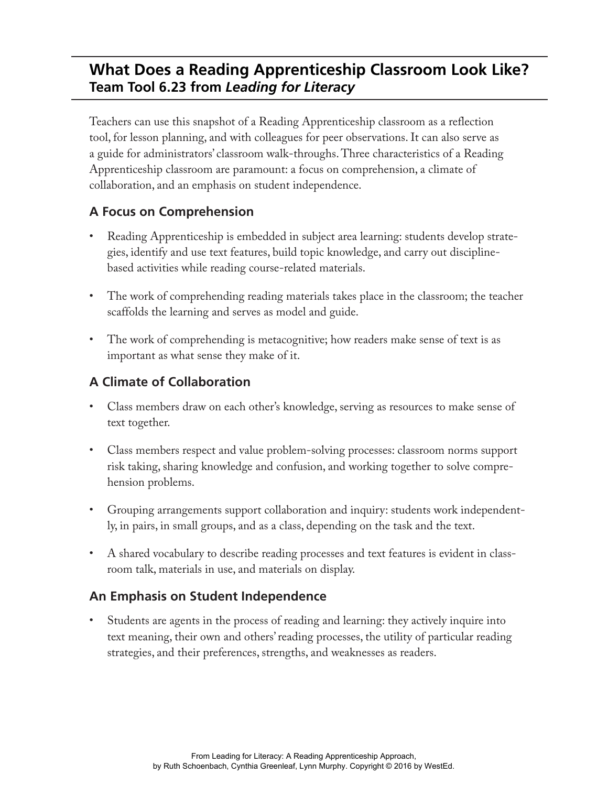# **What Does a Reading Apprenticeship Classroom Look Like? Team Tool 6.23 from** *Leading for Literacy*

Teachers can use this snapshot of a Reading Apprenticeship classroom as a reflection tool, for lesson planning, and with colleagues for peer observations. It can also serve as a guide for administrators' classroom walk-throughs. Three characteristics of a Reading Apprenticeship classroom are paramount: a focus on comprehension, a climate of collaboration, and an emphasis on student independence.

### **A Focus on Comprehension**

- Reading Apprenticeship is embedded in subject area learning: students develop strategies, identify and use text features, build topic knowledge, and carry out disciplinebased activities while reading course-related materials.
- The work of comprehending reading materials takes place in the classroom; the teacher scaffolds the learning and serves as model and guide.
- The work of comprehending is metacognitive; how readers make sense of text is as important as what sense they make of it.

## **A Climate of Collaboration**

- Class members draw on each other's knowledge, serving as resources to make sense of text together.
- Class members respect and value problem-solving processes: classroom norms support risk taking, sharing knowledge and confusion, and working together to solve comprehension problems.
- Grouping arrangements support collaboration and inquiry: students work independently, in pairs, in small groups, and as a class, depending on the task and the text.
- A shared vocabulary to describe reading processes and text features is evident in classroom talk, materials in use, and materials on display.

### **An Emphasis on Student Independence**

• Students are agents in the process of reading and learning: they actively inquire into text meaning, their own and others' reading processes, the utility of particular reading strategies, and their preferences, strengths, and weaknesses as readers.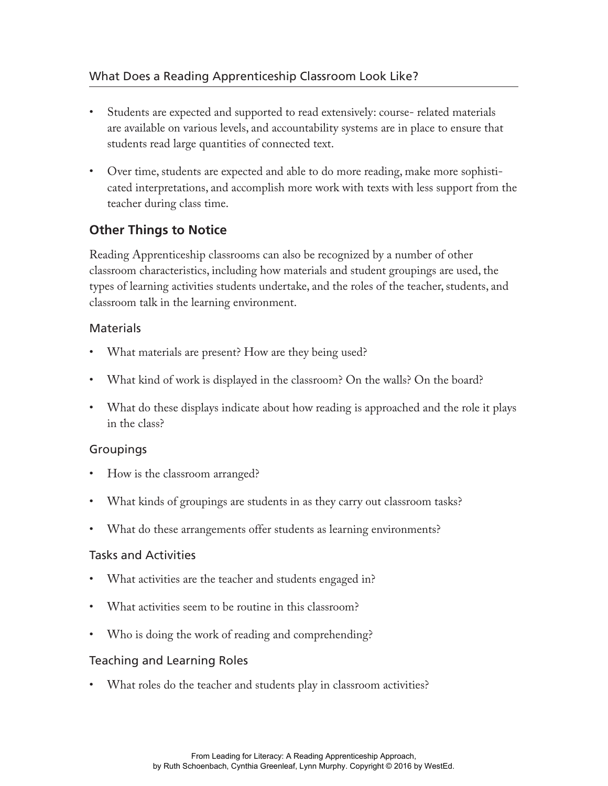- Students are expected and supported to read extensively: course- related materials are available on various levels, and accountability systems are in place to ensure that students read large quantities of connected text.
- Over time, students are expected and able to do more reading, make more sophisticated interpretations, and accomplish more work with texts with less support from the teacher during class time.

### **Other Things to Notice**

Reading Apprenticeship classrooms can also be recognized by a number of other classroom characteristics, including how materials and student groupings are used, the types of learning activities students undertake, and the roles of the teacher, students, and classroom talk in the learning environment.

### **Materials**

- What materials are present? How are they being used?
- What kind of work is displayed in the classroom? On the walls? On the board?
- What do these displays indicate about how reading is approached and the role it plays in the class?

### Groupings

- How is the classroom arranged?
- What kinds of groupings are students in as they carry out classroom tasks?
- What do these arrangements offer students as learning environments?

#### Tasks and Activities

- What activities are the teacher and students engaged in?
- What activities seem to be routine in this classroom?
- Who is doing the work of reading and comprehending?

### Teaching and Learning Roles

• What roles do the teacher and students play in classroom activities?